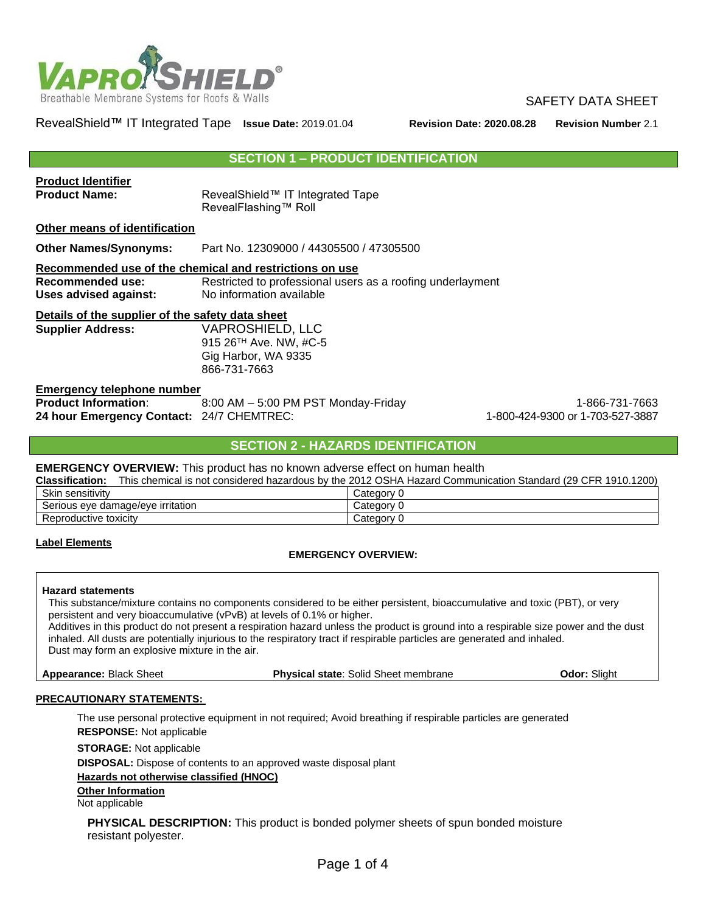

RevealShield™ IT Integrated Tape **Issue Date:** 2019.01.04 **Revision Date: 2020.08.28 Revision Number** 2.1

#### **SECTION 1 – PRODUCT IDENTIFICATION**

| <b>Product Identifier</b>                        |                                                            |                |  |  |
|--------------------------------------------------|------------------------------------------------------------|----------------|--|--|
| <b>Product Name:</b>                             | RevealShield™ IT Integrated Tape                           |                |  |  |
|                                                  | RevealFlashing™ Roll                                       |                |  |  |
| Other means of identification                    |                                                            |                |  |  |
| <b>Other Names/Synonyms:</b>                     | Part No. 12309000 / 44305500 / 47305500                    |                |  |  |
|                                                  | Recommended use of the chemical and restrictions on use    |                |  |  |
| Recommended use:                                 | Restricted to professional users as a roofing underlayment |                |  |  |
| Uses advised against:                            | No information available                                   |                |  |  |
| Details of the supplier of the safety data sheet |                                                            |                |  |  |
| <b>Supplier Address:</b>                         | <b>VAPROSHIELD, LLC</b>                                    |                |  |  |
|                                                  | 915 26 <sup>TH</sup> Ave. NW, #C-5                         |                |  |  |
|                                                  | Gig Harbor, WA 9335                                        |                |  |  |
|                                                  | 866-731-7663                                               |                |  |  |
| <b>Emergency telephone number</b>                |                                                            |                |  |  |
| <b>Product Information:</b>                      | 8:00 AM - 5:00 PM PST Monday-Friday                        | 1-866-731-7663 |  |  |

# **SECTION 2 - HAZARDS IDENTIFICATION**

**24 hour Emergency Contact:** 24/7 CHEMTREC: 1-800-424-9300 or 1-703-527-3887

#### **EMERGENCY OVERVIEW:** This product has no known adverse effect on human health

| <b>Classification:</b>            | This chemical is not considered hazardous by the 2012 OSHA Hazard Communication Standard (29 CFR 1910.1200) |
|-----------------------------------|-------------------------------------------------------------------------------------------------------------|
| Skin sensitivity                  | Categorv                                                                                                    |
| Serious eye damage/eye irritation | Categorv                                                                                                    |
| Reproductive toxicity             | Category 0                                                                                                  |

#### **Label Elements**

#### **EMERGENCY OVERVIEW:**

#### **Hazard statements**

This substance/mixture contains no components considered to be either persistent, bioaccumulative and toxic (PBT), or very persistent and very bioaccumulative (vPvB) at levels of 0.1% or higher.

Additives in this product do not present a respiration hazard unless the product is ground into a respirable size power and the dust inhaled. All dusts are potentially injurious to the respiratory tract if respirable particles are generated and inhaled. Dust may form an explosive mixture in the air.

**Appearance:** Black Sheet **Physical state**: Solid Sheet membrane **Odor:** Slight

#### **PRECAUTIONARY STATEMENTS:**

The use personal protective equipment in not required; Avoid breathing if respirable particles are generated **RESPONSE:** Not applicable

**STORAGE:** Not applicable

**DISPOSAL:** Dispose of contents to an approved waste disposal plant

#### **Hazards not otherwise classified (HNOC)**

**Other Information**

Not applicable

**PHYSICAL DESCRIPTION:** This product is bonded polymer sheets of spun bonded moisture resistant polyester.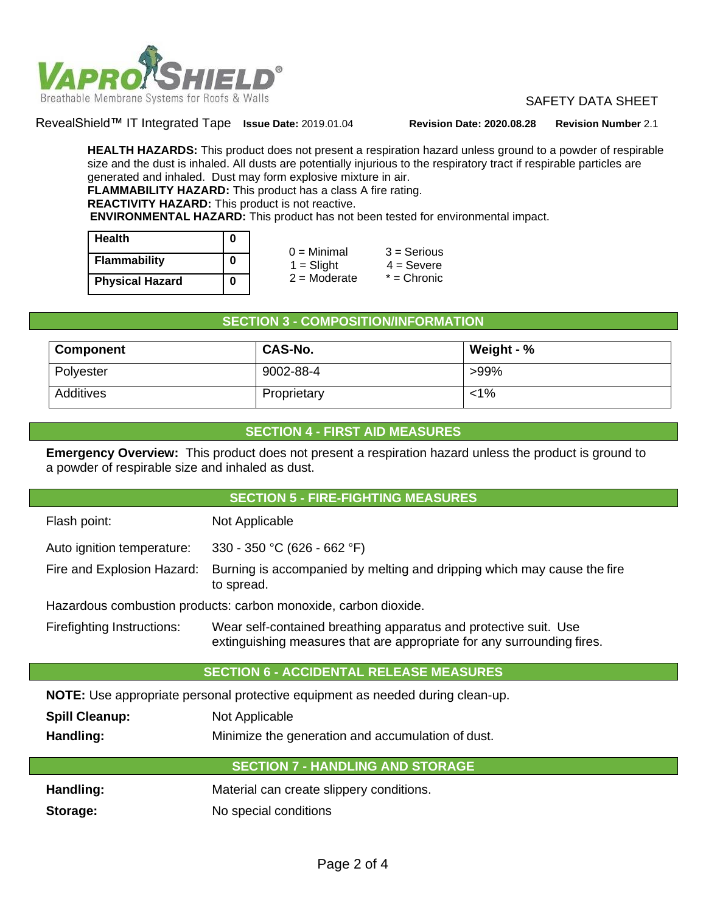

RevealShield™ IT Integrated Tape **Issue Date:** 2019.01.04 **Revision Date: 2020.08.28 Revision Number** 2.1

**HEALTH HAZARDS:** This product does not present a respiration hazard unless ground to a powder of respirable size and the dust is inhaled. All dusts are potentially injurious to the respiratory tract if respirable particles are generated and inhaled. Dust may form explosive mixture in air. **FLAMMABILITY HAZARD:** This product has a class A fire rating. **REACTIVITY HAZARD:** This product is not reactive.

**ENVIRONMENTAL HAZARD:** This product has not been tested for environmental impact.

| <b>Health</b>          | 0 |  |
|------------------------|---|--|
| <b>Flammability</b>    | 0 |  |
| <b>Physical Hazard</b> | Ω |  |

| <u>v</u> | $0 =$ Minimal  | $3 =$ Serious |
|----------|----------------|---------------|
| 0        | $1 =$ Slight   | $4 =$ Severe  |
| 0        | $2 =$ Moderate | $*$ = Chronic |

## **SECTION 3 - COMPOSITION/INFORMATION**

| Component | <b>CAS-No.</b> | Weight - $%$ |  |
|-----------|----------------|--------------|--|
| Polyester | 9002-88-4      | $>99\%$      |  |
| Additives | Proprietary    | <1%          |  |

## **SECTION 4 - FIRST AID MEASURES**

**Emergency Overview:** This product does not present a respiration hazard unless the product is ground to a powder of respirable size and inhaled as dust.

| <b>SECTION 5 - FIRE-FIGHTING MEASURES</b>                                                                                                                                |                                                                                       |  |  |  |
|--------------------------------------------------------------------------------------------------------------------------------------------------------------------------|---------------------------------------------------------------------------------------|--|--|--|
| Flash point:                                                                                                                                                             | Not Applicable                                                                        |  |  |  |
| Auto ignition temperature:                                                                                                                                               | 330 - 350 °C (626 - 662 °F)                                                           |  |  |  |
| Fire and Explosion Hazard:                                                                                                                                               | Burning is accompanied by melting and dripping which may cause the fire<br>to spread. |  |  |  |
|                                                                                                                                                                          | Hazardous combustion products: carbon monoxide, carbon dioxide.                       |  |  |  |
| Firefighting Instructions:<br>Wear self-contained breathing apparatus and protective suit. Use<br>extinguishing measures that are appropriate for any surrounding fires. |                                                                                       |  |  |  |
| <b>SECTION 6 - ACCIDENTAL RELEASE MEASURES</b>                                                                                                                           |                                                                                       |  |  |  |
| NOTE: Use appropriate personal protective equipment as needed during clean-up.                                                                                           |                                                                                       |  |  |  |
| <b>Spill Cleanup:</b><br>Not Applicable                                                                                                                                  |                                                                                       |  |  |  |
| Handling:<br>Minimize the generation and accumulation of dust.                                                                                                           |                                                                                       |  |  |  |
| <b>SECTION 7 - HANDLING AND STORAGE</b>                                                                                                                                  |                                                                                       |  |  |  |

| Handling: | Material can create slippery conditions. |  |
|-----------|------------------------------------------|--|
|-----------|------------------------------------------|--|

**Storage:** No special conditions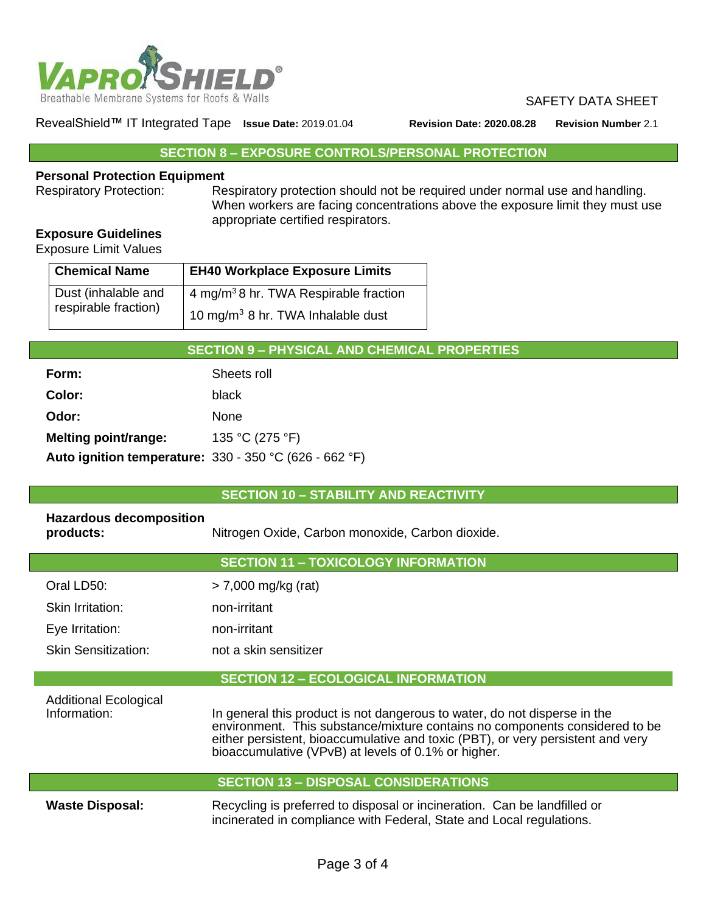

RevealShield™ IT Integrated Tape **Issue Date:** 2019.01.04 **Revision Date: 2020.08.28 Revision Number** 2.1

# **SECTION 8 – EXPOSURE CONTROLS/PERSONAL PROTECTION**

# **Personal Protection Equipment**<br>Respiratory Protection: Re

Respiratory protection should not be required under normal use and handling. When workers are facing concentrations above the exposure limit they must use appropriate certified respirators.

# **Exposure Guidelines**

Exposure Limit Values

Г

| <b>Chemical Name</b> | <b>EH40 Workplace Exposure Limits</b>             |  |  |
|----------------------|---------------------------------------------------|--|--|
| Dust (inhalable and  | 4 mg/m <sup>3</sup> 8 hr. TWA Respirable fraction |  |  |
| respirable fraction) | 10 mg/m <sup>3</sup> 8 hr. TWA Inhalable dust     |  |  |

# **SECTION 9 – PHYSICAL AND CHEMICAL PROPERTIES**

| Form:                                                           | Sheets roll     |
|-----------------------------------------------------------------|-----------------|
| Color:                                                          | black.          |
| Odor:                                                           | <b>None</b>     |
| Melting point/range:                                            | 135 °C (275 °F) |
| <b>Auto ignition temperature:</b> $330 - 350$ °C (626 - 662 °F) |                 |

#### **SECTION 10 – STABILITY AND REACTIVITY**

| <b>Hazardous decomposition</b><br>products:                                                                                                                                                                                                                                                                                                        | Nitrogen Oxide, Carbon monoxide, Carbon dioxide. |  |
|----------------------------------------------------------------------------------------------------------------------------------------------------------------------------------------------------------------------------------------------------------------------------------------------------------------------------------------------------|--------------------------------------------------|--|
|                                                                                                                                                                                                                                                                                                                                                    | <b>SECTION 11 - TOXICOLOGY INFORMATION</b>       |  |
| Oral LD50:                                                                                                                                                                                                                                                                                                                                         | $>$ 7,000 mg/kg (rat)                            |  |
| Skin Irritation:                                                                                                                                                                                                                                                                                                                                   | non-irritant                                     |  |
| Eye Irritation:                                                                                                                                                                                                                                                                                                                                    | non-irritant                                     |  |
| Skin Sensitization:                                                                                                                                                                                                                                                                                                                                | not a skin sensitizer                            |  |
|                                                                                                                                                                                                                                                                                                                                                    | <b>SECTION 12 - ECOLOGICAL INFORMATION</b>       |  |
| <b>Additional Ecological</b><br>Information:<br>In general this product is not dangerous to water, do not disperse in the<br>environment. This substance/mixture contains no components considered to be<br>either persistent, bioaccumulative and toxic (PBT), or very persistent and very<br>bioaccumulative (VPvB) at levels of 0.1% or higher. |                                                  |  |
|                                                                                                                                                                                                                                                                                                                                                    | <b>SECTION 13 - DISPOSAL CONSIDERATIONS</b>      |  |

**Waste Disposal:** Recycling is preferred to disposal or incineration. Can be landfilled or incinerated in compliance with Federal, State and Local regulations.